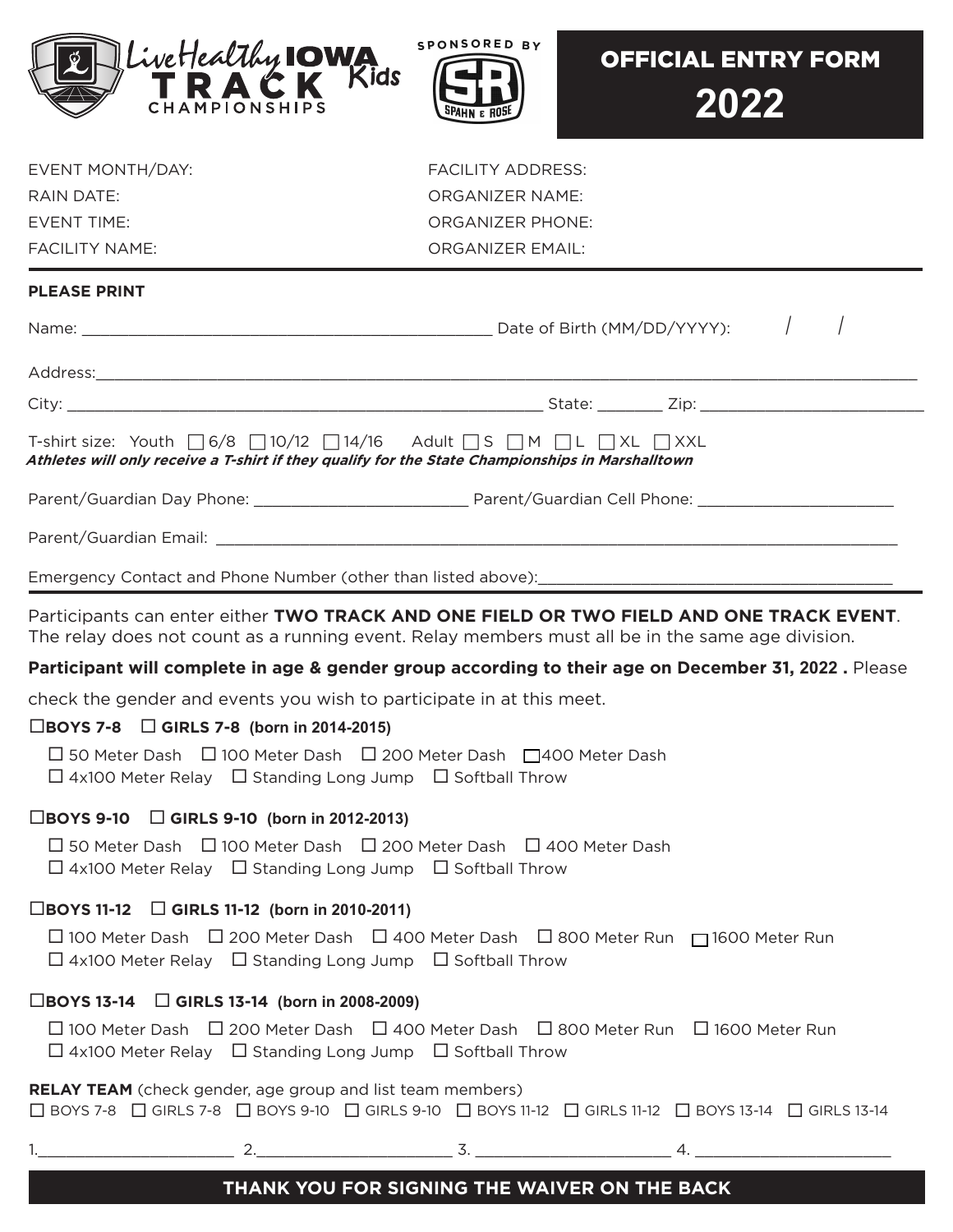



| EVENT MONTH/DAY:   |  |
|--------------------|--|
| RAIN DATE:         |  |
| <b>FVENT TIME:</b> |  |
| FACILITY NAME:     |  |

FACILITY ADDRESS: ORGANIZER NAME: ORGANIZER PHONE: ORGANIZER EMAIL:

## **PLEASE PRINT**

| T-shirt size: Youth $\Box$ 6/8 $\Box$ 10/12 $\Box$ 14/16 Adult $\Box$ S $\Box$ M $\Box$ L $\Box$ XL $\Box$ XXL<br>Athletes will only receive a T-shirt if they qualify for the State Championships in Marshalltown |  |  |
|--------------------------------------------------------------------------------------------------------------------------------------------------------------------------------------------------------------------|--|--|
|                                                                                                                                                                                                                    |  |  |
|                                                                                                                                                                                                                    |  |  |
| Emergency Contact and Phone Number (other than listed above): [19] [2012] [2012] [2012] [2012] [2012] [2012] [                                                                                                     |  |  |

Participants can enter either **TWO TRACK AND ONE FIELD OR TWO FIELD AND ONE TRACK EVENT**. The relay does not count as a running event. Relay members must all be in the same age division.

#### **Participant will complete in age & gender group according to their age on December 31, 2022 .** Please

check the gender and events you wish to participate in at this meet.

## **BOYS 7-8 GIRLS 7-8 (born in 2014-2015)**

□ 50 Meter Dash □ 100 Meter Dash □ 200 Meter Dash □ 400 Meter Dash  $\Box$  4x100 Meter Relay  $\Box$  Standing Long Jump  $\Box$  Softball Throw

#### **BOYS 9-10 GIRLS 9-10 (born in 2012-2013)**

 $\Box$  50 Meter Dash  $\Box$  100 Meter Dash  $\Box$  200 Meter Dash  $\Box$  400 Meter Dash  $\Box$  4x100 Meter Relay  $\Box$  Standing Long Jump  $\Box$  Softball Throw

## **BOYS 11-12 GIRLS 11-12 (born in 2010-2011)**

 100 Meter Dash 200 Meter Dash 400 Meter Dash 800 Meter Run 1600 Meter Run  $\Box$  4x100 Meter Relay  $\Box$  Standing Long Jump  $\Box$  Softball Throw

## **BOYS 13-14 GIRLS 13-14 (born in 2008-2009)**

 $\Box$  100 Meter Dash  $\Box$  200 Meter Dash  $\Box$  400 Meter Dash  $\Box$  800 Meter Run  $\Box$  1600 Meter Run  $\Box$  4x100 Meter Relay  $\Box$  Standing Long Jump  $\Box$  Softball Throw

#### **RELAY TEAM** (check gender, age group and list team members)

BOYS 7-8 GIRLS 7-8 BOYS 9-10 GIRLS 9-10 BOYS 11-12 GIRLS 11-12 BOYS 13-14 GIRLS 13-14